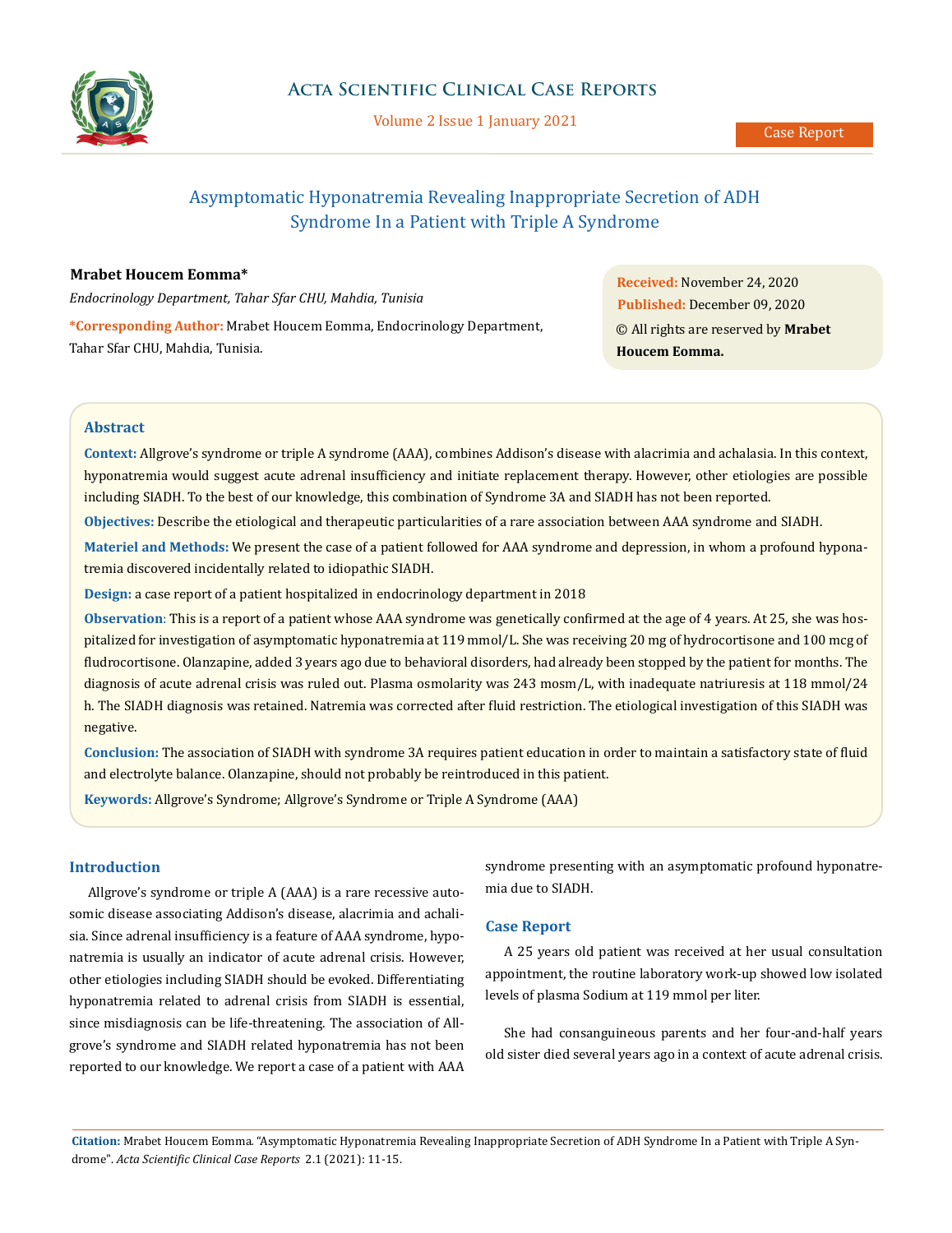

Volume 2 Issue 1 January 2021

# Asymptomatic Hyponatremia Revealing Inappropriate Secretion of ADH Syndrome In a Patient with Triple A Syndrome

# **Mrabet Houcem Eomma\***

*Endocrinology Department, Tahar Sfar CHU, Mahdia, Tunisia*

**\*Corresponding Author:** Mrabet Houcem Eomma, Endocrinology Department, Tahar Sfar CHU, Mahdia, Tunisia.

**Received:** November 24, 2020 **Published:** December 09, 2020 © All rights are reserved by **Mrabet Houcem Eomma.**

# **Abstract**

**Context:** Allgrove's syndrome or triple A syndrome (AAA), combines Addison's disease with alacrimia and achalasia. In this context, hyponatremia would suggest acute adrenal insufficiency and initiate replacement therapy. However, other etiologies are possible including SIADH. To the best of our knowledge, this combination of Syndrome 3A and SIADH has not been reported.

**Objectives:** Describe the etiological and therapeutic particularities of a rare association between AAA syndrome and SIADH.

**Materiel and Methods:** We present the case of a patient followed for AAA syndrome and depression, in whom a profound hyponatremia discovered incidentally related to idiopathic SIADH.

**Design:** a case report of a patient hospitalized in endocrinology department in 2018

**Observation**: This is a report of a patient whose AAA syndrome was genetically confirmed at the age of 4 years. At 25, she was hospitalized for investigation of asymptomatic hyponatremia at 119 mmol/L. She was receiving 20 mg of hydrocortisone and 100 mcg of fludrocortisone. Olanzapine, added 3 years ago due to behavioral disorders, had already been stopped by the patient for months. The diagnosis of acute adrenal crisis was ruled out. Plasma osmolarity was 243 mosm/L, with inadequate natriuresis at 118 mmol/24 h. The SIADH diagnosis was retained. Natremia was corrected after fluid restriction. The etiological investigation of this SIADH was negative.

**Conclusion:** The association of SIADH with syndrome 3A requires patient education in order to maintain a satisfactory state of fluid and electrolyte balance. Olanzapine, should not probably be reintroduced in this patient.

**Keywords:** Allgrove's Syndrome; Allgrove's Syndrome or Triple A Syndrome (AAA)

# **Introduction**

Allgrove's syndrome or triple A (AAA) is a rare recessive autosomic disease associating Addison's disease, alacrimia and achalisia. Since adrenal insufficiency is a feature of AAA syndrome, hyponatremia is usually an indicator of acute adrenal crisis. However, other etiologies including SIADH should be evoked. Differentiating hyponatremia related to adrenal crisis from SIADH is essential, since misdiagnosis can be life-threatening. The association of Allgrove's syndrome and SIADH related hyponatremia has not been reported to our knowledge. We report a case of a patient with AAA syndrome presenting with an asymptomatic profound hyponatremia due to SIADH.

# **Case Report**

A 25 years old patient was received at her usual consultation appointment, the routine laboratory work-up showed low isolated levels of plasma Sodium at 119 mmol per liter.

She had consanguineous parents and her four-and-half years old sister died several years ago in a context of acute adrenal crisis.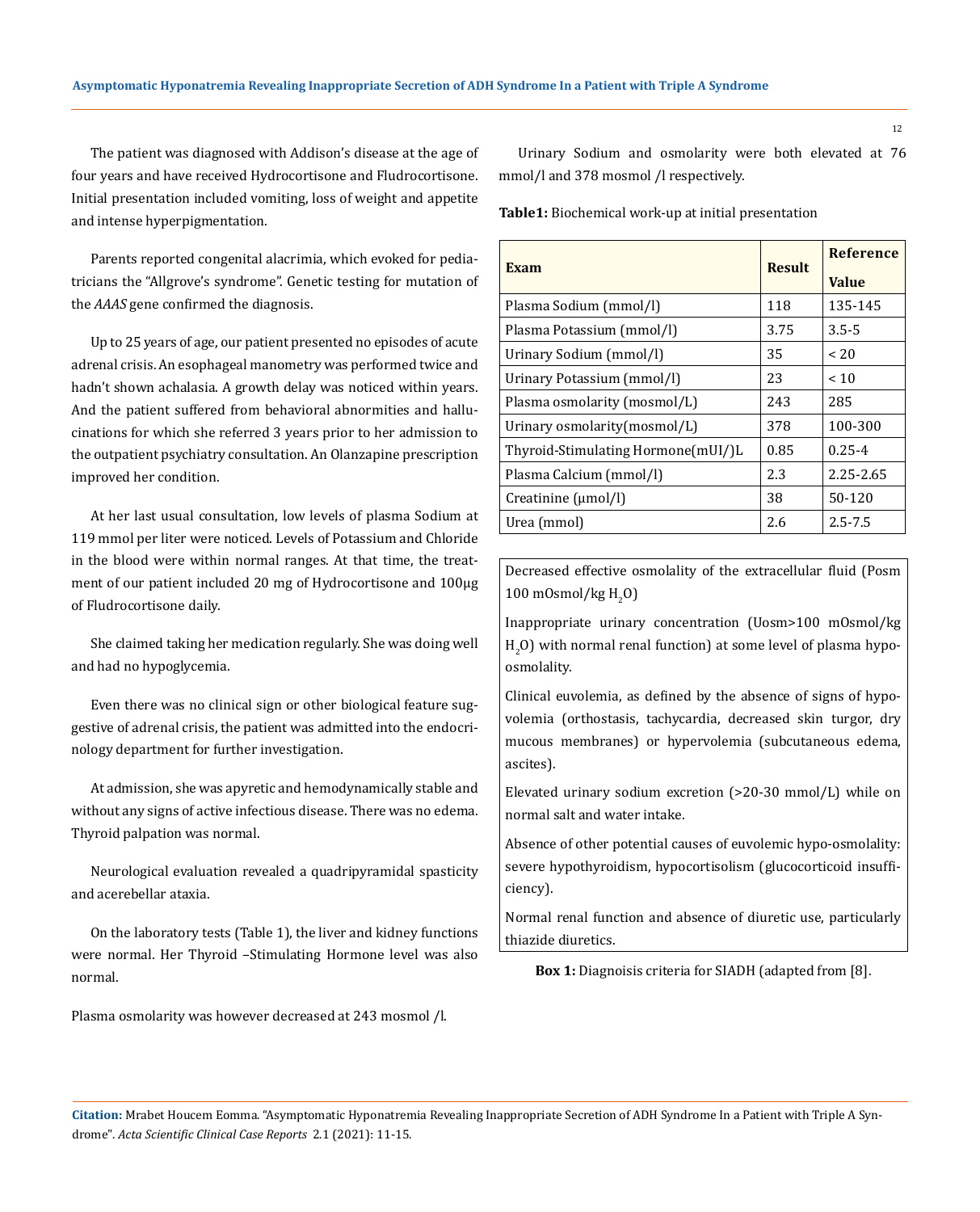The patient was diagnosed with Addison's disease at the age of four years and have received Hydrocortisone and Fludrocortisone. Initial presentation included vomiting, loss of weight and appetite and intense hyperpigmentation.

Parents reported congenital alacrimia, which evoked for pediatricians the "Allgrove's syndrome". Genetic testing for mutation of the *AAAS* gene confirmed the diagnosis.

Up to 25 years of age, our patient presented no episodes of acute adrenal crisis. An esophageal manometry was performed twice and hadn't shown achalasia. A growth delay was noticed within years. And the patient suffered from behavioral abnormities and hallucinations for which she referred 3 years prior to her admission to the outpatient psychiatry consultation. An Olanzapine prescription improved her condition.

At her last usual consultation, low levels of plasma Sodium at 119 mmol per liter were noticed. Levels of Potassium and Chloride in the blood were within normal ranges. At that time, the treatment of our patient included 20 mg of Hydrocortisone and 100µg of Fludrocortisone daily.

She claimed taking her medication regularly. She was doing well and had no hypoglycemia.

Even there was no clinical sign or other biological feature suggestive of adrenal crisis, the patient was admitted into the endocrinology department for further investigation.

At admission, she was apyretic and hemodynamically stable and without any signs of active infectious disease. There was no edema. Thyroid palpation was normal.

Neurological evaluation revealed a quadripyramidal spasticity and acerebellar ataxia.

On the laboratory tests (Table 1), the liver and kidney functions were normal. Her Thyroid –Stimulating Hormone level was also normal.

Plasma osmolarity was however decreased at 243 mosmol /l.

Urinary Sodium and osmolarity were both elevated at 76 mmol/l and 378 mosmol /l respectively.

**Table1:** Biochemical work-up at initial presentation

| Exam                               | <b>Result</b> | <b>Reference</b> |
|------------------------------------|---------------|------------------|
|                                    |               | Value            |
| Plasma Sodium (mmol/l)             | 118           | 135-145          |
| Plasma Potassium (mmol/l)          | 3.75          | $3.5 - 5$        |
| Urinary Sodium (mmol/l)            | 35            | ~120             |
| Urinary Potassium (mmol/l)         | 23            | ~10              |
| Plasma osmolarity (mosmol/L)       | 243           | 285              |
| Urinary osmolarity (mosmol/L)      | 378           | 100-300          |
| Thyroid-Stimulating Hormone(mUI/)L | 0.85          | $0.25 - 4$       |
| Plasma Calcium (mmol/l)            | 2.3           | 2.25-2.65        |
| Creatinine $(\mu mol/l)$           | 38            | 50-120           |
| Urea (mmol)                        | 2.6           | $2.5 - 7.5$      |
|                                    |               |                  |

Decreased effective osmolality of the extracellular fluid (Posm  $100 \text{ mOsmol/kg H}_2$ O)

Inappropriate urinary concentration (Uosm>100 mOsmol/kg  ${\rm H}_{\rm 2}$ O) with normal renal function) at some level of plasma hypoosmolality.

Clinical euvolemia, as defined by the absence of signs of hypovolemia (orthostasis, tachycardia, decreased skin turgor, dry mucous membranes) or hypervolemia (subcutaneous edema, ascites).

Elevated urinary sodium excretion (>20-30 mmol/L) while on normal salt and water intake.

Absence of other potential causes of euvolemic hypo-osmolality: severe hypothyroidism, hypocortisolism (glucocorticoid insufficiency).

Normal renal function and absence of diuretic use, particularly thiazide diuretics.

**Box 1:** Diagnoisis criteria for SIADH (adapted from [8].

**Citation:** Mrabet Houcem Eomma*.* "Asymptomatic Hyponatremia Revealing Inappropriate Secretion of ADH Syndrome In a Patient with Triple A Syndrome". *Acta Scientific Clinical Case Reports* 2.1 (2021): 11-15.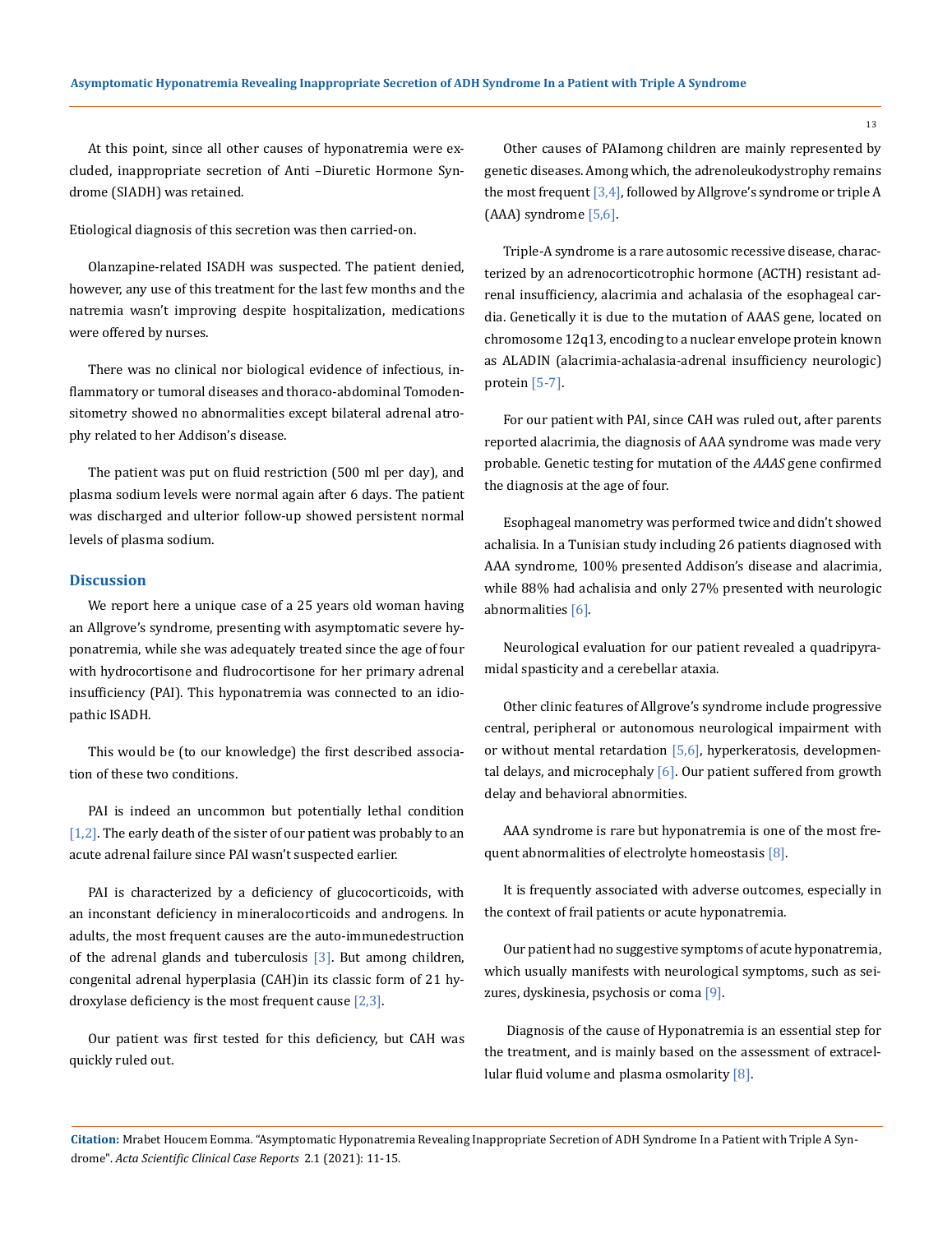At this point, since all other causes of hyponatremia were excluded, inappropriate secretion of Anti –Diuretic Hormone Syndrome (SIADH) was retained.

Etiological diagnosis of this secretion was then carried-on.

Olanzapine-related ISADH was suspected. The patient denied, however, any use of this treatment for the last few months and the natremia wasn't improving despite hospitalization, medications were offered by nurses.

There was no clinical nor biological evidence of infectious, inflammatory or tumoral diseases and thoraco-abdominal Tomodensitometry showed no abnormalities except bilateral adrenal atrophy related to her Addison's disease.

The patient was put on fluid restriction (500 ml per day), and plasma sodium levels were normal again after 6 days. The patient was discharged and ulterior follow-up showed persistent normal levels of plasma sodium.

### **Discussion**

We report here a unique case of a 25 years old woman having an Allgrove's syndrome, presenting with asymptomatic severe hyponatremia, while she was adequately treated since the age of four with hydrocortisone and fludrocortisone for her primary adrenal insufficiency (PAI). This hyponatremia was connected to an idiopathic ISADH.

This would be (to our knowledge) the first described association of these two conditions.

PAI is indeed an uncommon but potentially lethal condition  $[1,2]$ . The early death of the sister of our patient was probably to an acute adrenal failure since PAI wasn't suspected earlier.

PAI is characterized by a deficiency of glucocorticoids, with an inconstant deficiency in mineralocorticoids and androgens. In adults, the most frequent causes are the auto-immunedestruction of the adrenal glands and tuberculosis  $[3]$ . But among children, congenital adrenal hyperplasia (CAH)in its classic form of 21 hydroxylase deficiency is the most frequent cause  $[2,3]$ .

Our patient was first tested for this deficiency, but CAH was quickly ruled out.

Other causes of PAIamong children are mainly represented by genetic diseases. Among which, the adrenoleukodystrophy remains the most frequent [3,4], followed by Allgrove's syndrome or triple A (AAA) syndrome [5,6].

Triple-A syndrome is a rare autosomic recessive disease, characterized by an adrenocorticotrophic hormone (ACTH) resistant adrenal insufficiency, alacrimia and achalasia of the esophageal cardia. Genetically it is due to the mutation of AAAS gene, located on chromosome 12q13, encoding to a nuclear envelope protein known as ALADIN (alacrimia-achalasia-adrenal insufficiency neurologic) protein [5-7].

For our patient with PAI, since CAH was ruled out, after parents reported alacrimia, the diagnosis of AAA syndrome was made very probable. Genetic testing for mutation of the *AAAS* gene confirmed the diagnosis at the age of four.

Esophageal manometry was performed twice and didn't showed achalisia. In a Tunisian study including 26 patients diagnosed with AAA syndrome, 100% presented Addison's disease and alacrimia, while 88% had achalisia and only 27% presented with neurologic abnormalities [6].

Neurological evaluation for our patient revealed a quadripyramidal spasticity and a cerebellar ataxia.

Other clinic features of Allgrove's syndrome include progressive central, peripheral or autonomous neurological impairment with or without mental retardation  $[5,6]$ , hyperkeratosis, developmental delays, and microcephaly  $[6]$ . Our patient suffered from growth delay and behavioral abnormities.

AAA syndrome is rare but hyponatremia is one of the most frequent abnormalities of electrolyte homeostasis [8].

It is frequently associated with adverse outcomes, especially in the context of frail patients or acute hyponatremia.

Our patient had no suggestive symptoms of acute hyponatremia, which usually manifests with neurological symptoms, such as seizures, dyskinesia, psychosis or coma [9].

 Diagnosis of the cause of Hyponatremia is an essential step for the treatment, and is mainly based on the assessment of extracellular fluid volume and plasma osmolarity [8].

13

**Citation:** Mrabet Houcem Eomma*.* "Asymptomatic Hyponatremia Revealing Inappropriate Secretion of ADH Syndrome In a Patient with Triple A Syndrome". *Acta Scientific Clinical Case Reports* 2.1 (2021): 11-15.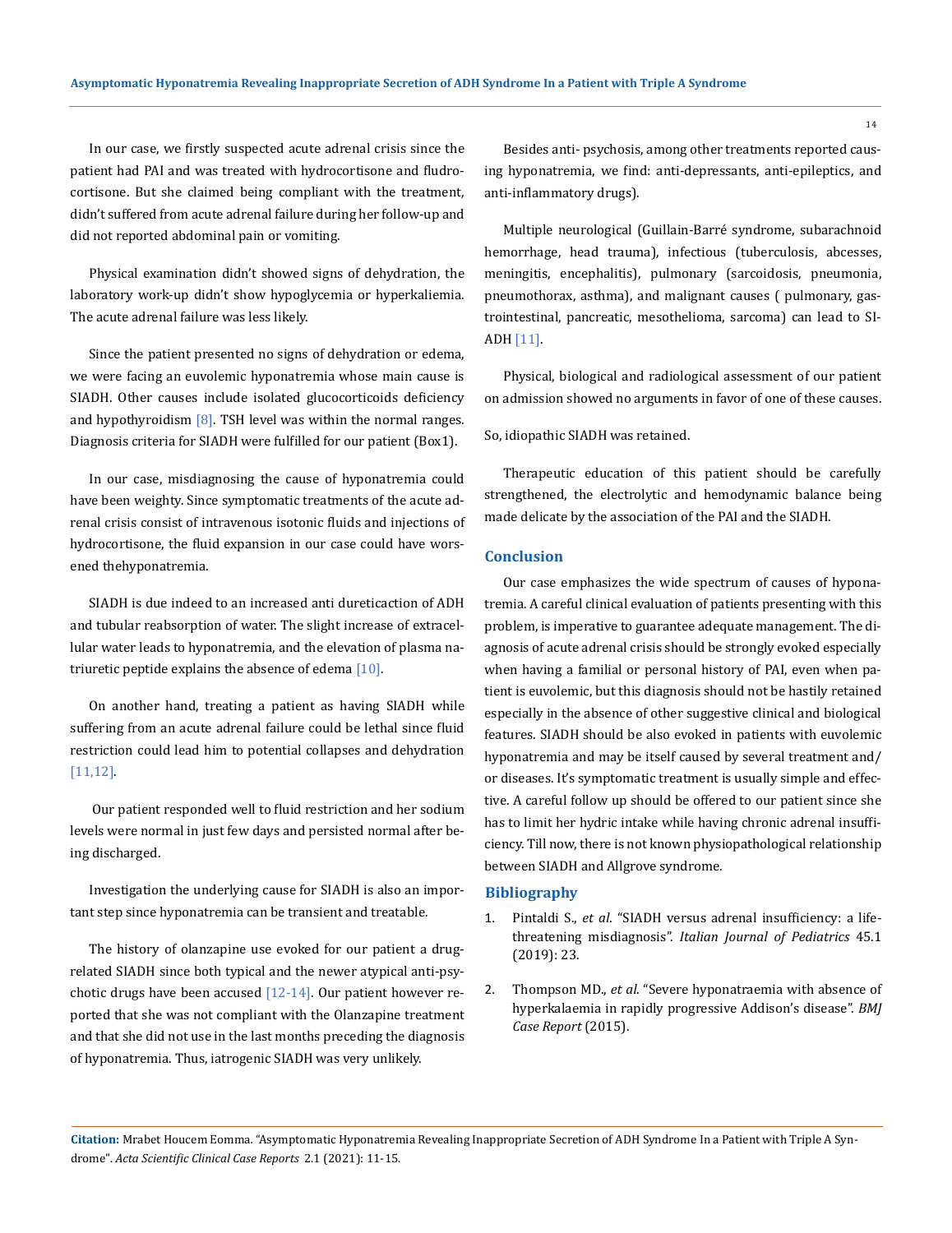In our case, we firstly suspected acute adrenal crisis since the patient had PAI and was treated with hydrocortisone and fludrocortisone. But she claimed being compliant with the treatment, didn't suffered from acute adrenal failure during her follow-up and did not reported abdominal pain or vomiting.

Physical examination didn't showed signs of dehydration, the laboratory work-up didn't show hypoglycemia or hyperkaliemia. The acute adrenal failure was less likely.

Since the patient presented no signs of dehydration or edema, we were facing an euvolemic hyponatremia whose main cause is SIADH. Other causes include isolated glucocorticoids deficiency and hypothyroidism  $[8]$ . TSH level was within the normal ranges. Diagnosis criteria for SIADH were fulfilled for our patient (Box1).

In our case, misdiagnosing the cause of hyponatremia could have been weighty. Since symptomatic treatments of the acute adrenal crisis consist of intravenous isotonic fluids and injections of hydrocortisone, the fluid expansion in our case could have worsened thehyponatremia.

SIADH is due indeed to an increased anti dureticaction of ADH and tubular reabsorption of water. The slight increase of extracellular water leads to hyponatremia, and the elevation of plasma natriuretic peptide explains the absence of edema [10].

On another hand, treating a patient as having SIADH while suffering from an acute adrenal failure could be lethal since fluid restriction could lead him to potential collapses and dehydration [11,12].

 Our patient responded well to fluid restriction and her sodium levels were normal in just few days and persisted normal after being discharged.

Investigation the underlying cause for SIADH is also an important step since hyponatremia can be transient and treatable.

The history of olanzapine use evoked for our patient a drugrelated SIADH since both typical and the newer atypical anti-psychotic drugs have been accused [12-14]. Our patient however reported that she was not compliant with the Olanzapine treatment and that she did not use in the last months preceding the diagnosis of hyponatremia. Thus, iatrogenic SIADH was very unlikely.

Besides anti- psychosis, among other treatments reported causing hyponatremia, we find: anti-depressants, anti-epileptics, and anti-inflammatory drugs).

Multiple neurological (Guillain-Barré syndrome, subarachnoid hemorrhage, head trauma), infectious (tuberculosis, abcesses, meningitis, encephalitis), pulmonary (sarcoidosis, pneumonia, pneumothorax, asthma), and malignant causes ( pulmonary, gastrointestinal, pancreatic, mesothelioma, sarcoma) can lead to SI-ADH [11].

Physical, biological and radiological assessment of our patient on admission showed no arguments in favor of one of these causes.

So, idiopathic SIADH was retained.

Therapeutic education of this patient should be carefully strengthened, the electrolytic and hemodynamic balance being made delicate by the association of the PAI and the SIADH.

#### **Conclusion**

Our case emphasizes the wide spectrum of causes of hyponatremia. A careful clinical evaluation of patients presenting with this problem, is imperative to guarantee adequate management. The diagnosis of acute adrenal crisis should be strongly evoked especially when having a familial or personal history of PAI, even when patient is euvolemic, but this diagnosis should not be hastily retained especially in the absence of other suggestive clinical and biological features. SIADH should be also evoked in patients with euvolemic hyponatremia and may be itself caused by several treatment and/ or diseases. It's symptomatic treatment is usually simple and effective. A careful follow up should be offered to our patient since she has to limit her hydric intake while having chronic adrenal insufficiency. Till now, there is not known physiopathological relationship between SIADH and Allgrove syndrome.

### **Bibliography**

- 1. Pintaldi S., *et al*[. "SIADH versus adrenal insufficiency: a life](https://ijponline.biomedcentral.com/articles/10.1186/s13052-019-0614-1)threatening misdiagnosis". *[Italian Journal of Pediatrics](https://ijponline.biomedcentral.com/articles/10.1186/s13052-019-0614-1)* 45.1 [\(2019\): 23.](https://ijponline.biomedcentral.com/articles/10.1186/s13052-019-0614-1)
- 2. Thompson MD., *et al*[. "Severe hyponatraemia with absence of](https://pubmed.ncbi.nlm.nih.gov/26021383/) [hyperkalaemia in rapidly progressive Addison's disease".](https://pubmed.ncbi.nlm.nih.gov/26021383/) *BMJ [Case Report](https://pubmed.ncbi.nlm.nih.gov/26021383/)* (2015).

**Citation:** Mrabet Houcem Eomma*.* "Asymptomatic Hyponatremia Revealing Inappropriate Secretion of ADH Syndrome In a Patient with Triple A Syndrome". *Acta Scientific Clinical Case Reports* 2.1 (2021): 11-15.

14